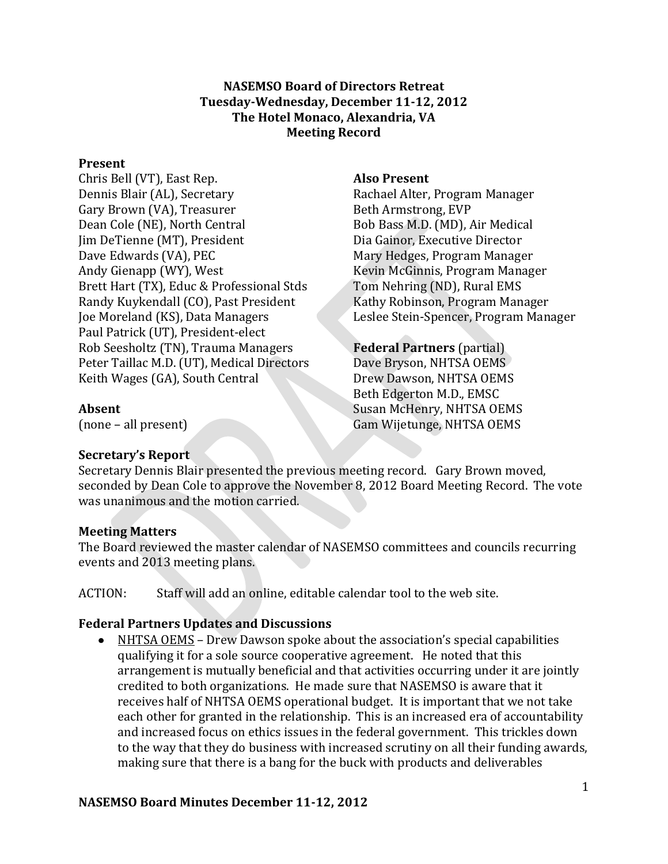### **NASEMSO Board of Directors Retreat Tuesday-Wednesday, December 11-12, 2012 The Hotel Monaco, Alexandria, VA Meeting Record**

#### **Present**

Chris Bell (VT), East Rep. Dennis Blair (AL), Secretary Gary Brown (VA), Treasurer Dean Cole (NE), North Central Jim DeTienne (MT), President Dave Edwards (VA), PEC Andy Gienapp (WY), West Brett Hart (TX), Educ & Professional Stds Randy Kuykendall (CO), Past President Joe Moreland (KS), Data Managers Paul Patrick (UT), President-elect Rob Seesholtz (TN), Trauma Managers Peter Taillac M.D. (UT), Medical Directors Keith Wages (GA), South Central

#### **Also Present**

Rachael Alter, Program Manager Beth Armstrong, EVP Bob Bass M.D. (MD), Air Medical Dia Gainor, Executive Director Mary Hedges, Program Manager Kevin McGinnis, Program Manager Tom Nehring (ND), Rural EMS Kathy Robinson, Program Manager Leslee Stein-Spencer, Program Manager

# **Federal Partners** (partial)

Dave Bryson, NHTSA OEMS Drew Dawson, NHTSA OEMS Beth Edgerton M.D., EMSC Susan McHenry, NHTSA OEMS Gam Wijetunge, NHTSA OEMS

## **Absent**

(none – all present)

# **Secretary's Report**

Secretary Dennis Blair presented the previous meeting record. Gary Brown moved, seconded by Dean Cole to approve the November 8, 2012 Board Meeting Record. The vote was unanimous and the motion carried.

# **Meeting Matters**

The Board reviewed the master calendar of NASEMSO committees and councils recurring events and 2013 meeting plans.

ACTION: Staff will add an online, editable calendar tool to the web site.

# **Federal Partners Updates and Discussions**

NHTSA OEMS – Drew Dawson spoke about the association's special capabilities  $\bullet$ qualifying it for a sole source cooperative agreement. He noted that this arrangement is mutually beneficial and that activities occurring under it are jointly credited to both organizations. He made sure that NASEMSO is aware that it receives half of NHTSA OEMS operational budget. It is important that we not take each other for granted in the relationship. This is an increased era of accountability and increased focus on ethics issues in the federal government. This trickles down to the way that they do business with increased scrutiny on all their funding awards, making sure that there is a bang for the buck with products and deliverables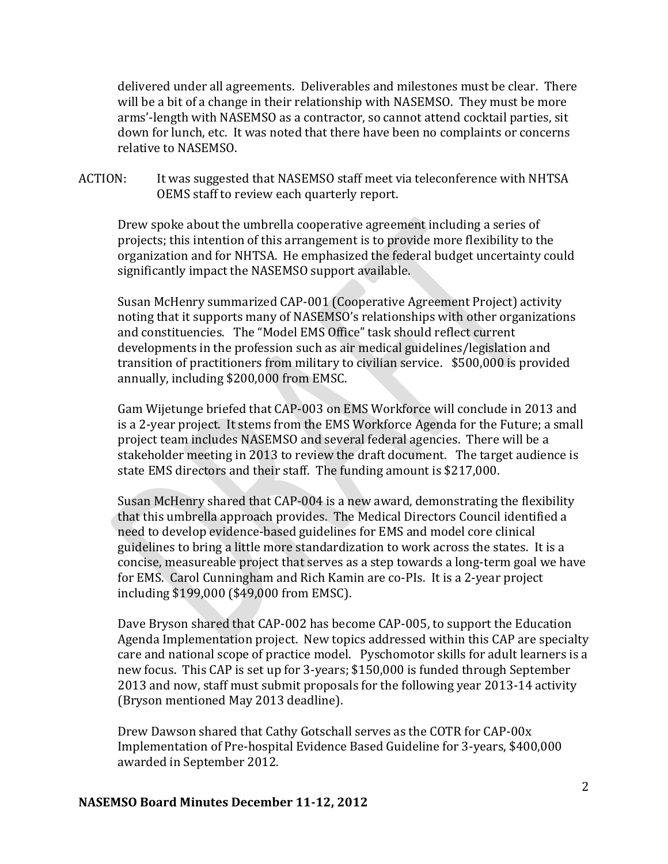delivered under all agreements. Deliverables and milestones must be clear. There will be a bit of a change in their relationship with NASEMSO. They must be more arms'-length with NASEMSO as a contractor, so cannot attend cocktail parties, sit down for lunch, etc. It was noted that there have been no complaints or concerns relative to NASEMSO.

ACTION: It was suggested that NASEMSO staff meet via teleconference with NHTSA OEMS staff to review each quarterly report.

Drew spoke about the umbrella cooperative agreement including a series of projects; this intention of this arrangement is to provide more flexibility to the organization and for NHTSA. He emphasized the federal budget uncertainty could significantly impact the NASEMSO support available.

Susan McHenry summarized CAP-001 (Cooperative Agreement Project) activity noting that it supports many of NASEMSO's relationships with other organizations and constituencies. The "Model EMS Office" task should reflect current developments in the profession such as air medical guidelines/legislation and transition of practitioners from military to civilian service. \$500,000 is provided annually, including \$200,000 from EMSC.

Gam Wijetunge briefed that CAP-003 on EMS Workforce will conclude in 2013 and is a 2-year project. It stems from the EMS Workforce Agenda for the Future; a small project team includes NASEMSO and several federal agencies. There will be a stakeholder meeting in 2013 to review the draft document. The target audience is state EMS directors and their staff. The funding amount is \$217,000.

Susan McHenry shared that CAP-004 is a new award, demonstrating the flexibility that this umbrella approach provides. The Medical Directors Council identified a need to develop evidence-based guidelines for EMS and model core clinical guidelines to bring a little more standardization to work across the states. It is a concise, measureable project that serves as a step towards a long-term goal we have for EMS. Carol Cunningham and Rich Kamin are co-PIs. It is a 2-year project including \$199,000 (\$49,000 from EMSC).

Dave Bryson shared that CAP-002 has become CAP-005, to support the Education Agenda Implementation project. New topics addressed within this CAP are specialty care and national scope of practice model. Pyschomotor skills for adult learners is a new focus. This CAP is set up for 3-years; \$150,000 is funded through September 2013 and now, staff must submit proposals for the following year 2013-14 activity (Bryson mentioned May 2013 deadline).

Drew Dawson shared that Cathy Gotschall serves as the COTR for CAP-00x Implementation of Pre-hospital Evidence Based Guideline for 3-years, \$400,000 awarded in September 2012.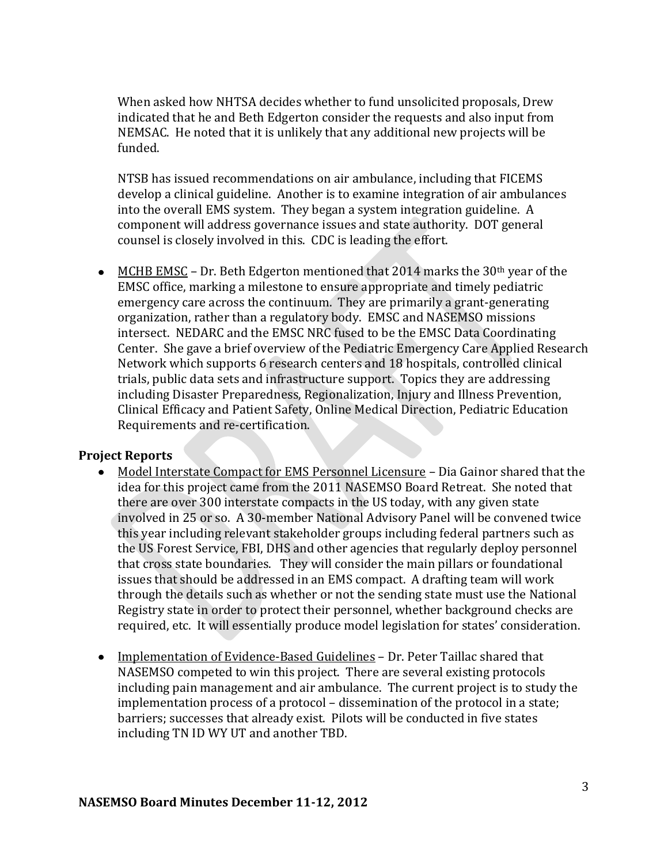When asked how NHTSA decides whether to fund unsolicited proposals, Drew indicated that he and Beth Edgerton consider the requests and also input from NEMSAC. He noted that it is unlikely that any additional new projects will be funded.

NTSB has issued recommendations on air ambulance, including that FICEMS develop a clinical guideline. Another is to examine integration of air ambulances into the overall EMS system. They began a system integration guideline. A component will address governance issues and state authority. DOT general counsel is closely involved in this. CDC is leading the effort.

• MCHB EMSC – Dr. Beth Edgerton mentioned that 2014 marks the 30<sup>th</sup> year of the EMSC office, marking a milestone to ensure appropriate and timely pediatric emergency care across the continuum. They are primarily a grant-generating organization, rather than a regulatory body. EMSC and NASEMSO missions intersect. NEDARC and the EMSC NRC fused to be the EMSC Data Coordinating Center. She gave a brief overview of the Pediatric Emergency Care Applied Research Network which supports 6 research centers and 18 hospitals, controlled clinical trials, public data sets and infrastructure support. Topics they are addressing including Disaster Preparedness, Regionalization, Injury and Illness Prevention, Clinical Efficacy and Patient Safety, Online Medical Direction, Pediatric Education Requirements and re-certification.

#### **Project Reports**

- Model Interstate Compact for EMS Personnel Licensure Dia Gainor shared that the idea for this project came from the 2011 NASEMSO Board Retreat. She noted that there are over 300 interstate compacts in the US today, with any given state involved in 25 or so. A 30-member National Advisory Panel will be convened twice this year including relevant stakeholder groups including federal partners such as the US Forest Service, FBI, DHS and other agencies that regularly deploy personnel that cross state boundaries. They will consider the main pillars or foundational issues that should be addressed in an EMS compact. A drafting team will work through the details such as whether or not the sending state must use the National Registry state in order to protect their personnel, whether background checks are required, etc. It will essentially produce model legislation for states' consideration.
- Implementation of Evidence-Based Guidelines Dr. Peter Taillac shared that NASEMSO competed to win this project. There are several existing protocols including pain management and air ambulance. The current project is to study the implementation process of a protocol – dissemination of the protocol in a state; barriers; successes that already exist. Pilots will be conducted in five states including TN ID WY UT and another TBD.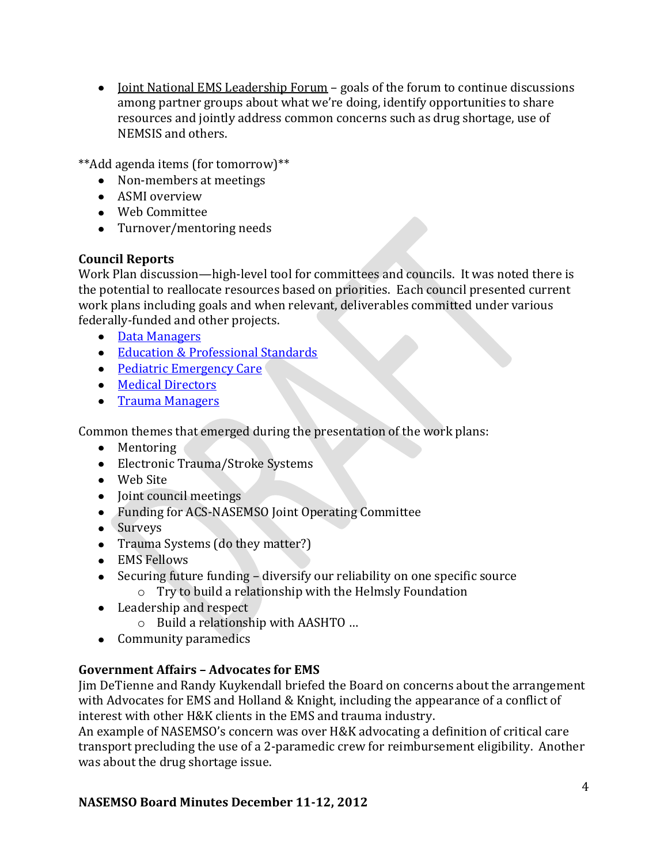• <u>Joint National EMS Leadership Forum</u> – goals of the forum to continue discussions among partner groups about what we're doing, identify opportunities to share resources and jointly address common concerns such as drug shortage, use of NEMSIS and others.

\*\*Add agenda items (for tomorrow)\*\*

- Non-members at meetings
- ASMI overview
- Web Committee
- Turnover/mentoring needs

# **Council Reports**

Work Plan discussion—high-level tool for committees and councils. It was noted there is the potential to reallocate resources based on priorities. Each council presented current work plans including goals and when relevant, deliverables committed under various federally-funded and other projects.

- [Data Managers](https://www.nasemso.org/Members/Board/documents/DataManagersCouncilWorkplan_2013.pdf)
- [Education & Professional Standards](https://www.nasemso.org/Members/Board/documents/DataManagersCouncilWorkplan_2013.pdf)
- [Pediatric Emergency Care](https://www.nasemso.org/Members/Board/documents/2013PediatricEmergencyCare.pdf)
- [Medical Directors](https://www.nasemso.org/Members/Board/documents/MDCouncilWorkplan2013RevisedNov2012.pdf)
- [Trauma Managers](https://www.nasemso.org/Members/Board/documents/2013TraumaCouncilWorkplanDRAFT112912.pdf)

Common themes that emerged during the presentation of the work plans:

- Mentoring
- Electronic Trauma/Stroke Systems
- Web Site
- Joint council meetings
- Funding for ACS-NASEMSO Joint Operating Committee
- Surveys
- Trauma Systems (do they matter?)
- EMS Fellows
- Securing future funding diversify our reliability on one specific source o Try to build a relationship with the Helmsly Foundation
- Leadership and respect
	- o Build a relationship with AASHTO …
- Community paramedics

# **Government Affairs – Advocates for EMS**

Jim DeTienne and Randy Kuykendall briefed the Board on concerns about the arrangement with Advocates for EMS and Holland & Knight, including the appearance of a conflict of interest with other H&K clients in the EMS and trauma industry.

An example of NASEMSO's concern was over H&K advocating a definition of critical care transport precluding the use of a 2-paramedic crew for reimbursement eligibility. Another was about the drug shortage issue.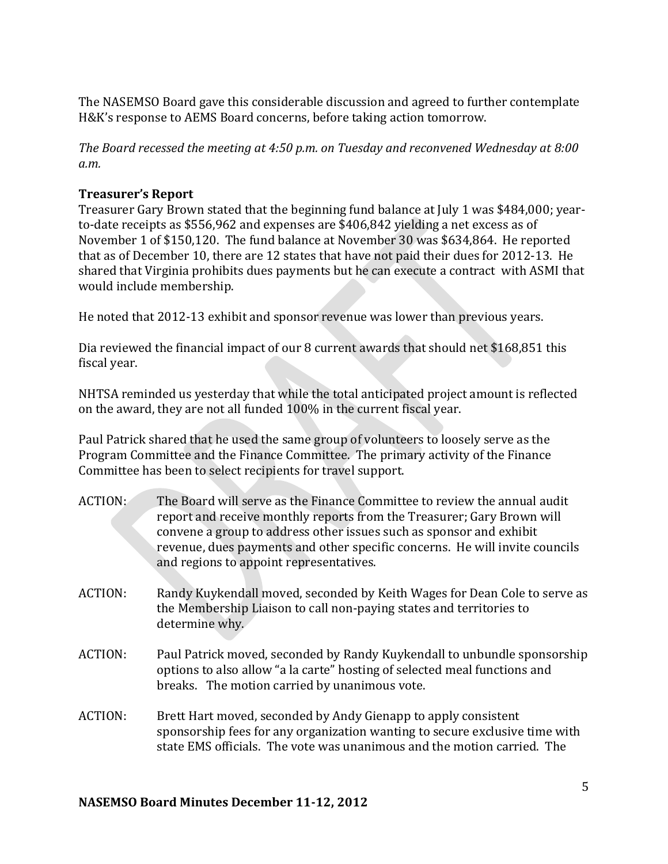The NASEMSO Board gave this considerable discussion and agreed to further contemplate H&K's response to AEMS Board concerns, before taking action tomorrow.

*The Board recessed the meeting at 4:50 p.m. on Tuesday and reconvened Wednesday at 8:00 a.m.*

### **Treasurer's Report**

Treasurer Gary Brown stated that the beginning fund balance at July 1 was \$484,000; yearto-date receipts as \$556,962 and expenses are \$406,842 yielding a net excess as of November 1 of \$150,120. The fund balance at November 30 was \$634,864. He reported that as of December 10, there are 12 states that have not paid their dues for 2012-13. He shared that Virginia prohibits dues payments but he can execute a contract with ASMI that would include membership.

He noted that 2012-13 exhibit and sponsor revenue was lower than previous years.

Dia reviewed the financial impact of our 8 current awards that should net \$168,851 this fiscal year.

NHTSA reminded us yesterday that while the total anticipated project amount is reflected on the award, they are not all funded 100% in the current fiscal year.

Paul Patrick shared that he used the same group of volunteers to loosely serve as the Program Committee and the Finance Committee. The primary activity of the Finance Committee has been to select recipients for travel support.

- ACTION: The Board will serve as the Finance Committee to review the annual audit report and receive monthly reports from the Treasurer; Gary Brown will convene a group to address other issues such as sponsor and exhibit revenue, dues payments and other specific concerns. He will invite councils and regions to appoint representatives.
- ACTION: Randy Kuykendall moved, seconded by Keith Wages for Dean Cole to serve as the Membership Liaison to call non-paying states and territories to determine why.
- ACTION: Paul Patrick moved, seconded by Randy Kuykendall to unbundle sponsorship options to also allow "a la carte" hosting of selected meal functions and breaks. The motion carried by unanimous vote.
- ACTION: Brett Hart moved, seconded by Andy Gienapp to apply consistent sponsorship fees for any organization wanting to secure exclusive time with state EMS officials. The vote was unanimous and the motion carried. The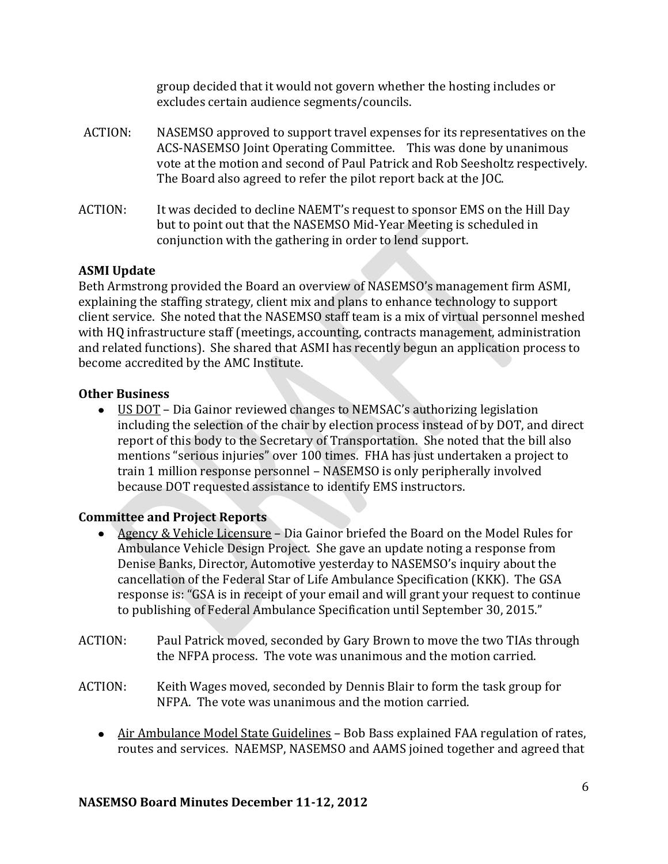|         | group decided that it would not govern whether the hosting includes or<br>excludes certain audience segments/councils.                                                                                                                                                                               |
|---------|------------------------------------------------------------------------------------------------------------------------------------------------------------------------------------------------------------------------------------------------------------------------------------------------------|
| ACTION: | NASEMSO approved to support travel expenses for its representatives on the<br>ACS-NASEMSO Joint Operating Committee. This was done by unanimous<br>vote at the motion and second of Paul Patrick and Rob Seesholtz respectively.<br>The Board also agreed to refer the pilot report back at the JOC. |
| ACTION: | It was decided to decline NAEMT's request to sponsor EMS on the Hill Day<br>but to point out that the NASEMSO Mid-Year Meeting is scheduled in<br>conjunction with the gathering in order to lend support.                                                                                           |

group decided that it would not govern whether the hosting includes or

## **ASMI Update**

Beth Armstrong provided the Board an overview of NASEMSO's management firm ASMI, explaining the staffing strategy, client mix and plans to enhance technology to support client service. She noted that the NASEMSO staff team is a mix of virtual personnel meshed with HQ infrastructure staff (meetings, accounting, contracts management, administration and related functions). She shared that ASMI has recently begun an application process to become accredited by the AMC Institute.

## **Other Business**

US DOT – Dia Gainor reviewed changes to NEMSAC's authorizing legislation including the selection of the chair by election process instead of by DOT, and direct report of this body to the Secretary of Transportation. She noted that the bill also mentions "serious injuries" over 100 times. FHA has just undertaken a project to train 1 million response personnel – NASEMSO is only peripherally involved because DOT requested assistance to identify EMS instructors.

# **Committee and Project Reports**

- Agency & Vehicle Licensure Dia Gainor briefed the Board on the Model Rules for Ambulance Vehicle Design Project. She gave an update noting a response from Denise Banks, Director, Automotive yesterday to NASEMSO's inquiry about the cancellation of the Federal Star of Life Ambulance Specification (KKK). The GSA response is: "GSA is in receipt of your email and will grant your request to continue to publishing of Federal Ambulance Specification until September 30, 2015."
- ACTION: Paul Patrick moved, seconded by Gary Brown to move the two TIAs through the NFPA process. The vote was unanimous and the motion carried.
- ACTION: Keith Wages moved, seconded by Dennis Blair to form the task group for NFPA. The vote was unanimous and the motion carried.
	- Air Ambulance Model State Guidelines Bob Bass explained FAA regulation of rates, routes and services. NAEMSP, NASEMSO and AAMS joined together and agreed that